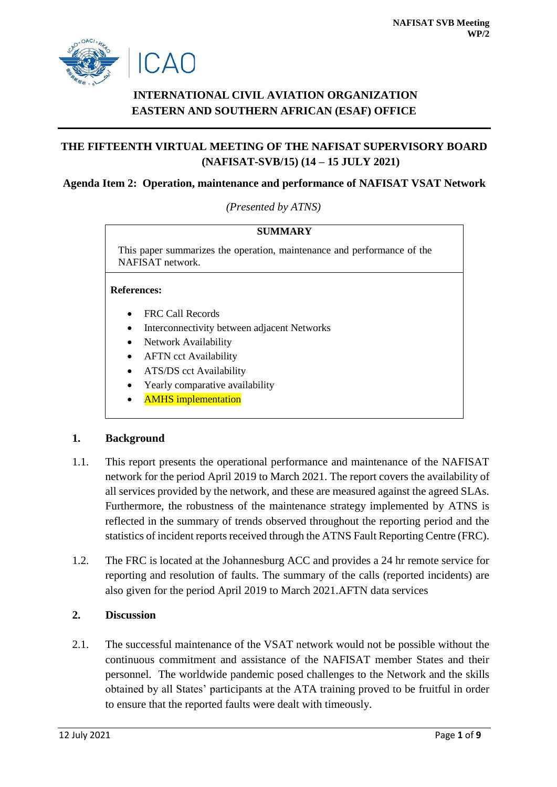

# **INTERNATIONAL CIVIL AVIATION ORGANIZATION EASTERN AND SOUTHERN AFRICAN (ESAF) OFFICE**

# **THE FIFTEENTH VIRTUAL MEETING OF THE NAFISAT SUPERVISORY BOARD (NAFISAT-SVB/15) (14 – 15 JULY 2021)**

## **Agenda Item 2: Operation, maintenance and performance of NAFISAT VSAT Network**

*(Presented by ATNS)*

| SUMMARY                                                                                     |  |  |  |  |  |  |  |  |  |
|---------------------------------------------------------------------------------------------|--|--|--|--|--|--|--|--|--|
| This paper summarizes the operation, maintenance and performance of the<br>NAFISAT network. |  |  |  |  |  |  |  |  |  |
| <b>References:</b>                                                                          |  |  |  |  |  |  |  |  |  |
| <b>FRC Call Records</b><br>$\bullet$                                                        |  |  |  |  |  |  |  |  |  |
| Interconnectivity between adjacent Networks                                                 |  |  |  |  |  |  |  |  |  |
| Network Availability<br>$\bullet$                                                           |  |  |  |  |  |  |  |  |  |
| <b>AFTN</b> cct Availability<br>$\bullet$                                                   |  |  |  |  |  |  |  |  |  |
| ATS/DS cct Availability<br>$\bullet$                                                        |  |  |  |  |  |  |  |  |  |
| Yearly comparative availability<br>٠                                                        |  |  |  |  |  |  |  |  |  |
| <b>AMHS</b> implementation                                                                  |  |  |  |  |  |  |  |  |  |

# **1. Background**

- 1.1. This report presents the operational performance and maintenance of the NAFISAT network for the period April 2019 to March 2021. The report covers the availability of all services provided by the network, and these are measured against the agreed SLAs. Furthermore, the robustness of the maintenance strategy implemented by ATNS is reflected in the summary of trends observed throughout the reporting period and the statistics of incident reports received through the ATNS Fault Reporting Centre (FRC).
- 1.2. The FRC is located at the Johannesburg ACC and provides a 24 hr remote service for reporting and resolution of faults. The summary of the calls (reported incidents) are also given for the period April 2019 to March 2021.AFTN data services

# **2. Discussion**

2.1. The successful maintenance of the VSAT network would not be possible without the continuous commitment and assistance of the NAFISAT member States and their personnel. The worldwide pandemic posed challenges to the Network and the skills obtained by all States' participants at the ATA training proved to be fruitful in order to ensure that the reported faults were dealt with timeously.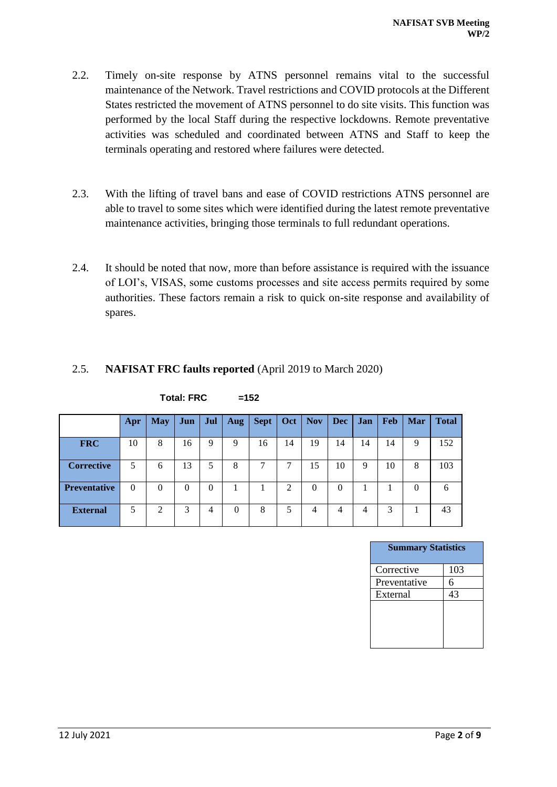- 2.2. Timely on-site response by ATNS personnel remains vital to the successful maintenance of the Network. Travel restrictions and COVID protocols at the Different States restricted the movement of ATNS personnel to do site visits. This function was performed by the local Staff during the respective lockdowns. Remote preventative activities was scheduled and coordinated between ATNS and Staff to keep the terminals operating and restored where failures were detected.
- 2.3. With the lifting of travel bans and ease of COVID restrictions ATNS personnel are able to travel to some sites which were identified during the latest remote preventative maintenance activities, bringing those terminals to full redundant operations.
- 2.4. It should be noted that now, more than before assistance is required with the issuance of LOI's, VISAS, some customs processes and site access permits required by some authorities. These factors remain a risk to quick on-site response and availability of spares.

# 2.5. **NAFISAT FRC faults reported** (April 2019 to March 2020)

|                     | Apr      | <b>May</b> | Jun      | Jul | Aug      | <b>Sept</b> | Oct | <b>Nov</b> | <b>Dec</b> | <b>Jan</b> | <b>Feb</b> | <b>Mar</b> | <b>Total</b> |
|---------------------|----------|------------|----------|-----|----------|-------------|-----|------------|------------|------------|------------|------------|--------------|
| <b>FRC</b>          | 10       | 8          | 16       | 9   | 9        | 16          | 14  | 19         | 14         | 14         | 14         | 9          | 152          |
| <b>Corrective</b>   | 5        | 6          | 13       | 5.  | 8        |             |     | 15         | 10         | 9          | 10         | 8          | 103          |
| <b>Preventative</b> | $\Omega$ | $\Omega$   | $\theta$ | 0   |          |             | 2   | 0          | 0          |            |            | 0          | 6            |
| <b>External</b>     | 5        | 2          | 3        | 4   | $\Omega$ | 8           | 5   | 4          | 4          | 4          | 3          |            | 43           |

 $Total: FRC =152$ 

| <b>Summary Statistics</b> |     |  |  |  |  |  |  |  |
|---------------------------|-----|--|--|--|--|--|--|--|
| Corrective                | 103 |  |  |  |  |  |  |  |
| Preventative              | 6   |  |  |  |  |  |  |  |
| External                  | 43  |  |  |  |  |  |  |  |
|                           |     |  |  |  |  |  |  |  |
|                           |     |  |  |  |  |  |  |  |
|                           |     |  |  |  |  |  |  |  |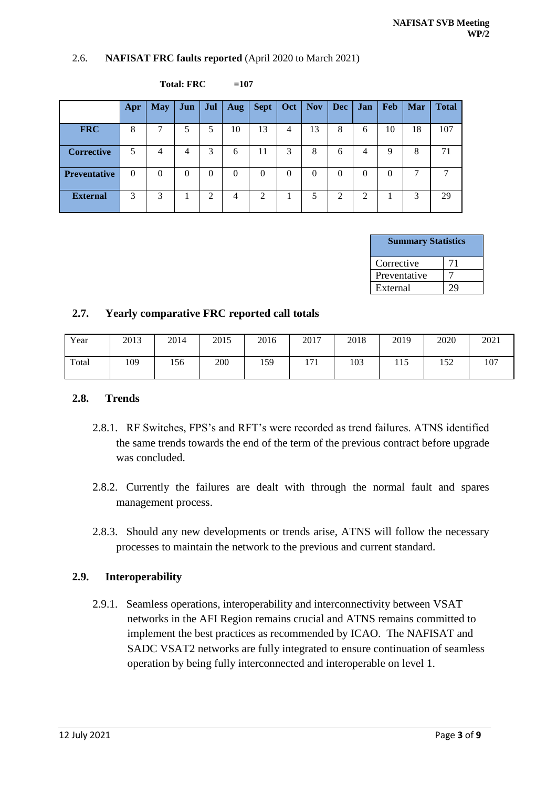#### 2.6. **NAFISAT FRC faults reported** (April 2020 to March 2021)

|                     | Apr      | <b>May</b> | Jun      | Jul      | Aug      | <b>Sept</b> | Oct            | <b>Nov</b> | Dec      | <b>Jan</b> | <b>Feb</b> | <b>Mar</b> | <b>Total</b> |
|---------------------|----------|------------|----------|----------|----------|-------------|----------------|------------|----------|------------|------------|------------|--------------|
| <b>FRC</b>          | 8        | 7          | 5        | 5        | 10       | 13          | $\overline{4}$ | 13         | 8        | 6          | 10         | 18         | 107          |
| <b>Corrective</b>   | 5        | 4          | 4        | 3        | 6        | 11          | 3              | 8          | 6        | 4          | Q          | 8          | 71           |
| <b>Preventative</b> | $\Omega$ | $\Omega$   | $\theta$ | $\Omega$ | $\Omega$ | $\theta$    | $\theta$       | $\theta$   | $\Omega$ | 0          | 0          | ⇁          | 7            |
| <b>External</b>     | 3        | 3          |          | 2        | 4        | 2           |                |            | 2        | 2          |            | 3          | 29           |

| <b>Total: FRC</b> | $=107$ |
|-------------------|--------|
|-------------------|--------|

| <b>Summary Statistics</b> |    |
|---------------------------|----|
| Corrective                | 71 |
| Preventative              |    |
| External                  |    |

#### **2.7. Yearly comparative FRC reported call totals**

| Year  | 2013 | 2014 | 2015 | 2016 | 2017 | 2018 | 2019 | 2020 | 2021 |
|-------|------|------|------|------|------|------|------|------|------|
| Total | 109  | 156  | 200  | 159  | 171  | 103  | 115  | 152  | 107  |

#### **2.8. Trends**

- 2.8.1. RF Switches, FPS's and RFT's were recorded as trend failures. ATNS identified the same trends towards the end of the term of the previous contract before upgrade was concluded.
- 2.8.2. Currently the failures are dealt with through the normal fault and spares management process.
- 2.8.3. Should any new developments or trends arise, ATNS will follow the necessary processes to maintain the network to the previous and current standard.

### **2.9. Interoperability**

2.9.1. Seamless operations, interoperability and interconnectivity between VSAT networks in the AFI Region remains crucial and ATNS remains committed to implement the best practices as recommended by ICAO. The NAFISAT and SADC VSAT2 networks are fully integrated to ensure continuation of seamless operation by being fully interconnected and interoperable on level 1.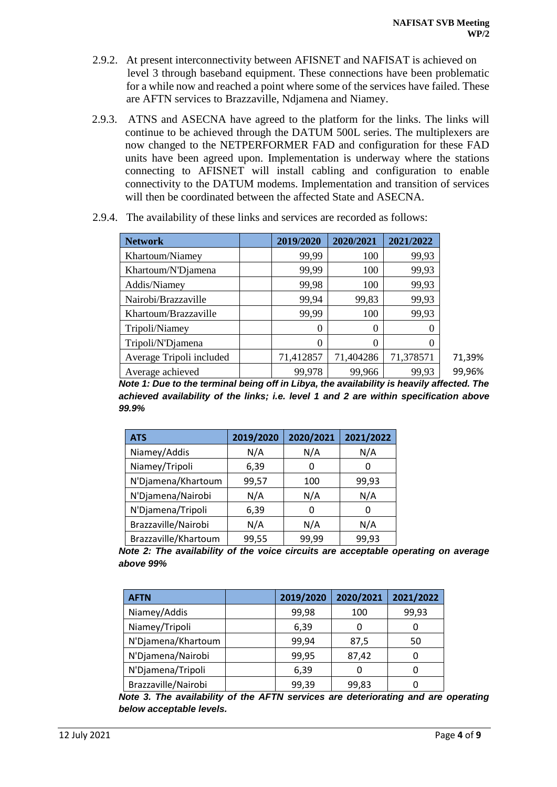- 2.9.2. At present interconnectivity between AFISNET and NAFISAT is achieved on level 3 through baseband equipment. These connections have been problematic for a while now and reached a point where some of the services have failed. These are AFTN services to Brazzaville, Ndjamena and Niamey.
- 2.9.3. ATNS and ASECNA have agreed to the platform for the links. The links will continue to be achieved through the DATUM 500L series. The multiplexers are now changed to the NETPERFORMER FAD and configuration for these FAD units have been agreed upon. Implementation is underway where the stations connecting to AFISNET will install cabling and configuration to enable connectivity to the DATUM modems. Implementation and transition of services will then be coordinated between the affected State and ASECNA.

| <b>Network</b>           | 2019/2020 | 2020/2021 | 2021/2022 |
|--------------------------|-----------|-----------|-----------|
| Khartoum/Niamey          | 99,99     | 100       | 99,93     |
| Khartoum/N'Djamena       | 99,99     | 100       | 99,93     |
| Addis/Niamey             | 99,98     | 100       | 99,93     |
| Nairobi/Brazzaville      | 99,94     | 99,83     | 99,93     |
| Khartoum/Brazzaville     | 99,99     | 100       | 99,93     |
| Tripoli/Niamey           | 0         | $\theta$  | 0         |
| Tripoli/N'Djamena        | 0         | 0         | 0         |
| Average Tripoli included | 71,412857 | 71,404286 | 71,378571 |
| Average achieved         | 99,978    | 99,966    | 99,93     |

2.9.4. The availability of these links and services are recorded as follows:

*Note 1: Due to the terminal being off in Libya, the availability is heavily affected. The achieved availability of the links; i.e. level 1 and 2 are within specification above 99.9%*

| <b>ATS</b>           | 2019/2020 | 2020/2021 | 2021/2022 |
|----------------------|-----------|-----------|-----------|
| Niamey/Addis         | N/A       | N/A       | N/A       |
| Niamey/Tripoli       | 6,39      |           | O         |
| N'Djamena/Khartoum   | 99,57     | 100       | 99,93     |
| N'Djamena/Nairobi    | N/A       | N/A       | N/A       |
| N'Djamena/Tripoli    | 6,39      |           | O         |
| Brazzaville/Nairobi  | N/A       | N/A       | N/A       |
| Brazzaville/Khartoum | 99,55     | 99,99     | 99,93     |

*Note 2: The availability of the voice circuits are acceptable operating on average above 99%*

| <b>AFTN</b>         | 2019/2020 | 2020/2021 | 2021/2022 |
|---------------------|-----------|-----------|-----------|
| Niamey/Addis        | 99,98     | 100       | 99,93     |
| Niamey/Tripoli      | 6,39      |           | 0         |
| N'Djamena/Khartoum  | 99,94     | 87,5      | 50        |
| N'Djamena/Nairobi   | 99,95     | 87,42     |           |
| N'Djamena/Tripoli   | 6,39      |           |           |
| Brazzaville/Nairobi | 99,39     | 99,83     |           |

*Note 3. The availability of the AFTN services are deteriorating and are operating below acceptable levels.*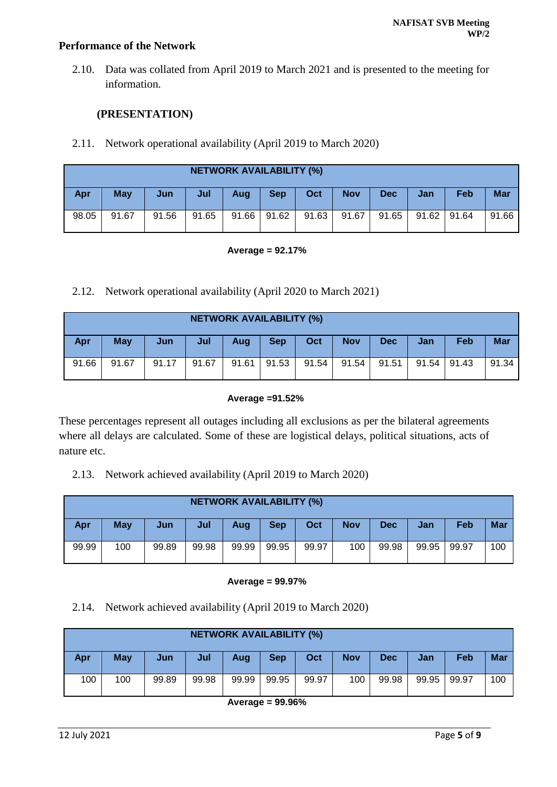## **Performance of the Network**

2.10. Data was collated from April 2019 to March 2021 and is presented to the meeting for information.

## **(PRESENTATION)**

2.11. Network operational availability (April 2019 to March 2020)

|            | <b>NETWORK AVAILABILITY (%)</b> |       |       |       |            |       |            |            |       |       |            |
|------------|---------------------------------|-------|-------|-------|------------|-------|------------|------------|-------|-------|------------|
| <b>Apr</b> | <b>May</b>                      | Jun   | Jul   | Aug   | <b>Sep</b> | Oct   | <b>Nov</b> | <b>Dec</b> | Jan   | Feb   | <b>Mar</b> |
| 98.05      | 91.67                           | 91.56 | 91.65 | 91.66 | 91.62      | 91.63 | 91.67      | 91.65      | 91.62 | 91.64 | 91.66      |

#### **Average = 92.17%**

2.12. Network operational availability (April 2020 to March 2021)

|       | <b>NETWORK AVAILABILITY (%)</b> |       |       |       |            |       |            |            |                 |     |            |
|-------|---------------------------------|-------|-------|-------|------------|-------|------------|------------|-----------------|-----|------------|
| Apr   | May                             | Jun   | Jul   | Aug   | <b>Sep</b> | Oct   | <b>Nov</b> | <b>Dec</b> | Jan             | Feb | <b>Mar</b> |
| 91.66 | 91.67                           | 91.17 | 91.67 | 91.61 | 91.53      | 91.54 | 91.54      | 91.51      | $91.54$   91.43 |     | 91.34      |

#### **Average =91.52%**

These percentages represent all outages including all exclusions as per the bilateral agreements where all delays are calculated. Some of these are logistical delays, political situations, acts of nature etc.

2.13. Network achieved availability (April 2019 to March 2020)

|            | <b>NETWORK AVAILABILITY (%)</b> |       |       |       |            |       |            |            |       |       |            |  |  |
|------------|---------------------------------|-------|-------|-------|------------|-------|------------|------------|-------|-------|------------|--|--|
| <b>Apr</b> | <b>May</b>                      | Jun   | Jul   | Aug   | <b>Sep</b> | Oct   | <b>Nov</b> | <b>Dec</b> | Jan   | Feb   | <b>Mar</b> |  |  |
| 99.99      | 100                             | 99.89 | 99.98 | 99.99 | 99.95      | 99.97 | 100        | 99.98      | 99.95 | 99.97 | 100        |  |  |

#### **Average = 99.97%**

2.14. Network achieved availability (April 2019 to March 2020)

|            | <b>NETWORK AVAILABILITY (%)</b> |       |       |       |            |       |            |            |       |       |            |  |  |  |
|------------|---------------------------------|-------|-------|-------|------------|-------|------------|------------|-------|-------|------------|--|--|--|
| <b>Apr</b> | May                             | Jun   | Jul   | Aug   | <b>Sep</b> | Oct   | <b>Nov</b> | <b>Dec</b> | Jan   | Feb   | <b>Mar</b> |  |  |  |
| 100        | 100                             | 99.89 | 99.98 | 99.99 | 99.95      | 99.97 | 100        | 99.98      | 99.95 | 99.97 | 100        |  |  |  |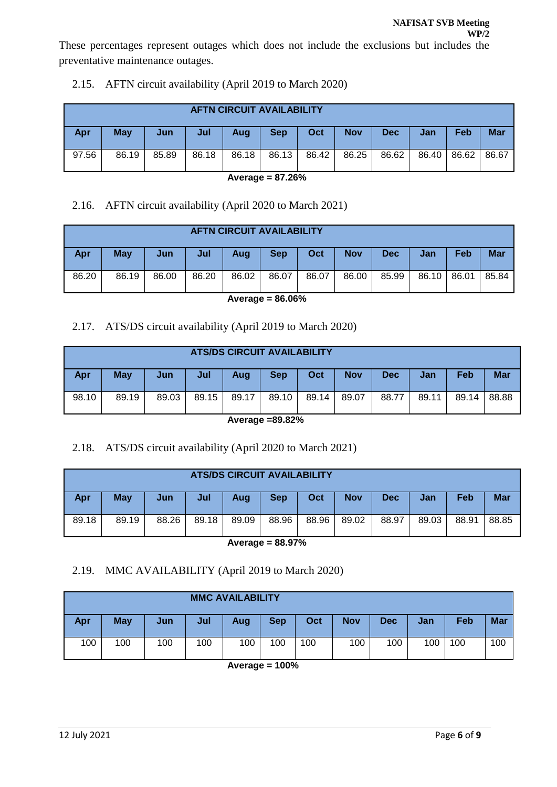preventative maintenance outages.

|       | <b>AFTN CIRCUIT AVAILABILITY</b> |            |       |       |            |       |            |       |             |     |            |  |  |
|-------|----------------------------------|------------|-------|-------|------------|-------|------------|-------|-------------|-----|------------|--|--|
| Apr   | May                              | <b>Jun</b> | Jul   | Aug   | <b>Sep</b> | Oct   | <b>Nov</b> | Dec   | Jan         | Feb | <b>Mar</b> |  |  |
| 97.56 | 86.19                            | 85.89      | 86.18 | 86.18 | 86.13      | 86.42 | 86.25      | 86.62 | 86.40 86.62 |     | 86.67      |  |  |

# 2.15. AFTN circuit availability (April 2019 to March 2020)

**Average = 87.26%**

# 2.16. AFTN circuit availability (April 2020 to March 2021)

|            | <b>AFTN CIRCUIT AVAILABILITY</b> |       |       |       |            |       |            |            |       |       |            |  |  |  |
|------------|----------------------------------|-------|-------|-------|------------|-------|------------|------------|-------|-------|------------|--|--|--|
| <b>Apr</b> | <b>May</b>                       | Jun   | Jul   | Aug   | <b>Sep</b> | Oct   | <b>Nov</b> | <b>Dec</b> | Jan   | Feb   | <b>Mar</b> |  |  |  |
| 86.20      | 86.19                            | 86.00 | 86.20 | 86.02 | 86.07      | 86.07 | 86.00      | 85.99      | 86.10 | 86.01 | 85.84      |  |  |  |

# **Average = 86.06%**

# 2.17. ATS/DS circuit availability (April 2019 to March 2020)

|       | <b>ATS/DS CIRCUIT AVAILABILITY</b> |       |       |       |            |            |            |       |            |       |            |  |  |
|-------|------------------------------------|-------|-------|-------|------------|------------|------------|-------|------------|-------|------------|--|--|
| Apr   | <b>May</b>                         | Jun   | Jul   | Aug   | <b>Sep</b> | <b>Oct</b> | <b>Nov</b> | Dec   | <b>Jan</b> | Feb   | <b>Mar</b> |  |  |
| 98.10 | 89.19                              | 89.03 | 89.15 | 89.17 | 89.10      | 89.14      | 89.07      | 88.77 | 89.11      | 89.14 | 88.88      |  |  |

**Average =89.82%**

# 2.18. ATS/DS circuit availability (April 2020 to March 2021)

|       | <b>ATS/DS CIRCUIT AVAILABILITY</b> |                  |       |       |            |       |            |            |       |       |            |  |  |  |
|-------|------------------------------------|------------------|-------|-------|------------|-------|------------|------------|-------|-------|------------|--|--|--|
| Apr   | <b>May</b>                         | Jun <sup>/</sup> | Jul   | Aug   | <b>Sep</b> | Oct   | <b>Nov</b> | <b>Dec</b> | Jan   | Feb   | <b>Mar</b> |  |  |  |
| 89.18 | 89.19                              | 88.26            | 89.18 | 89.09 | 88.96      | 88.96 | 89.02      | 88.97      | 89.03 | 88.91 | 88.85      |  |  |  |

**Average = 88.97%**

# 2.19. MMC AVAILABILITY (April 2019 to March 2020)

| <b>MMC AVAILABILITY</b> |            |     |     |     |            |     |            |            |     |     |            |  |
|-------------------------|------------|-----|-----|-----|------------|-----|------------|------------|-----|-----|------------|--|
| Apr                     | <b>May</b> | Jun | Jul | Aug | <b>Sep</b> | Oct | <b>Nov</b> | <b>Dec</b> | Jan | Feb | <b>Mar</b> |  |
| 100                     | 100        | 100 | 100 | 100 | 100        | 100 | 100        | 100        | 100 | 100 | 100        |  |

**Average = 100%**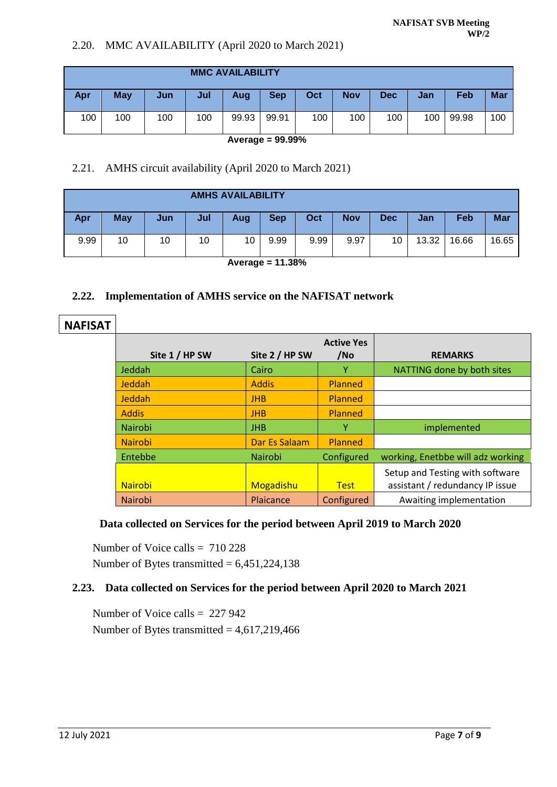# 2.20. MMC AVAILABILITY (April 2020 to March 2021)

| <b>MMC AVAILABILITY</b> |            |     |     |       |            |     |            |      |     |       |            |
|-------------------------|------------|-----|-----|-------|------------|-----|------------|------|-----|-------|------------|
| Apr                     | <b>May</b> | Jun | Jul | Aug   | <b>Sep</b> | Oct | <b>Nov</b> | Dec. | Jan | Feb   | <b>Mar</b> |
| 100                     | 100        | 100 | 100 | 99.93 | 99.91      | 100 | 100        | 100  | 100 | 99.98 | 100        |

**Average = 99.99%**

# 2.21. AMHS circuit availability (April 2020 to March 2021)

| <b>AMHS AVAILABILITY</b> |            |     |     |     |            |      |            |            |       |       |            |
|--------------------------|------------|-----|-----|-----|------------|------|------------|------------|-------|-------|------------|
| <b>Apr</b>               | <b>May</b> | Jun | Jul | Aug | <b>Sep</b> | Oct  | <b>Nov</b> | <b>Dec</b> | Jan   | Feb   | <b>Mar</b> |
| 9.99                     | 10         | 10  | 10  | 10  | 9.99       | 9.99 | 9.97       | 10         | 13.32 | 16.66 | 16.65      |

**Average = 11.38%**

# **2.22. Implementation of AMHS service on the NAFISAT network**

# **NAFISAT Site 1 / HP SW Site 2 / HP SW**

| Site 1 / HP SW | Site 2 / HP SW | <b>Active Yes</b><br>/No | <b>REMARKS</b>                    |
|----------------|----------------|--------------------------|-----------------------------------|
| Jeddah         | Cairo          |                          | NATTING done by both sites        |
| Jeddah         | <b>Addis</b>   | Planned                  |                                   |
| Jeddah         | <b>JHB</b>     | Planned                  |                                   |
| <b>Addis</b>   | <b>JHB</b>     | Planned                  |                                   |
| Nairobi        | <b>JHB</b>     | γ                        | implemented                       |
| <b>Nairobi</b> | Dar Es Salaam  | Planned                  |                                   |
| Entebbe        | Nairobi        | Configured               | working, Enetbbe will adz working |
|                |                |                          | Setup and Testing with software   |
| <b>Nairobi</b> | Mogadishu      | <b>Test</b>              | assistant / redundancy IP issue   |
| Nairobi        | Plaicance      | Configured               | Awaiting implementation           |

# **Data collected on Services for the period between April 2019 to March 2020**

Number of Voice calls  $= 710228$ Number of Bytes transmitted  $= 6,451,224,138$ 

# **2.23. Data collected on Services for the period between April 2020 to March 2021**

Number of Voice calls = 227 942 Number of Bytes transmitted  $= 4,617,219,466$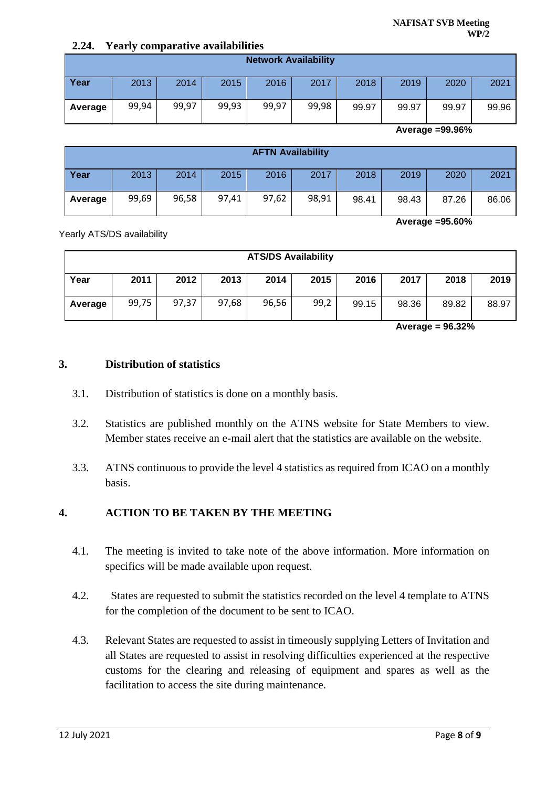## **2.24. Yearly comparative availabilities**

|         |       |       |       | <b>Network Availability</b> |       |       |       |       |       |
|---------|-------|-------|-------|-----------------------------|-------|-------|-------|-------|-------|
| Year    | 2013  | 2014  | 2015  | 2016                        | 2017  | 2018  | 2019  | 2020  | 2021  |
| Average | 99,94 | 99,97 | 99,93 | 99,97                       | 99,98 | 99.97 | 99.97 | 99.97 | 99.96 |

**Average =99.96%**

|         |       |       |       | <b>AFTN Availability</b> |       |       |       |       |       |
|---------|-------|-------|-------|--------------------------|-------|-------|-------|-------|-------|
| Year    | 2013  | 2014  | 2015  | 2016                     | 2017  | 2018  | 2019  | 2020  | 2021  |
| Average | 99,69 | 96,58 | 97,41 | 97,62                    | 98,91 | 98.41 | 98.43 | 87.26 | 86.06 |

**Average =95.60%**

Yearly ATS/DS availability

| <b>ATS/DS Availability</b> |       |       |       |       |      |       |       |       |       |
|----------------------------|-------|-------|-------|-------|------|-------|-------|-------|-------|
| Year                       | 2011  | 2012  | 2013  | 2014  | 2015 | 2016  | 2017  | 2018  | 2019  |
| Average                    | 99,75 | 97,37 | 97,68 | 96,56 | 99,2 | 99.15 | 98.36 | 89.82 | 88.97 |

**Average = 96.32%**

## **3. Distribution of statistics**

- 3.1. Distribution of statistics is done on a monthly basis.
- 3.2. Statistics are published monthly on the ATNS website for State Members to view. Member states receive an e-mail alert that the statistics are available on the website.
- 3.3. ATNS continuous to provide the level 4 statistics as required from ICAO on a monthly basis.

# **4. ACTION TO BE TAKEN BY THE MEETING**

- 4.1. The meeting is invited to take note of the above information. More information on specifics will be made available upon request.
- 4.2. States are requested to submit the statistics recorded on the level 4 template to ATNS for the completion of the document to be sent to ICAO.
- 4.3. Relevant States are requested to assist in timeously supplying Letters of Invitation and all States are requested to assist in resolving difficulties experienced at the respective customs for the clearing and releasing of equipment and spares as well as the facilitation to access the site during maintenance.